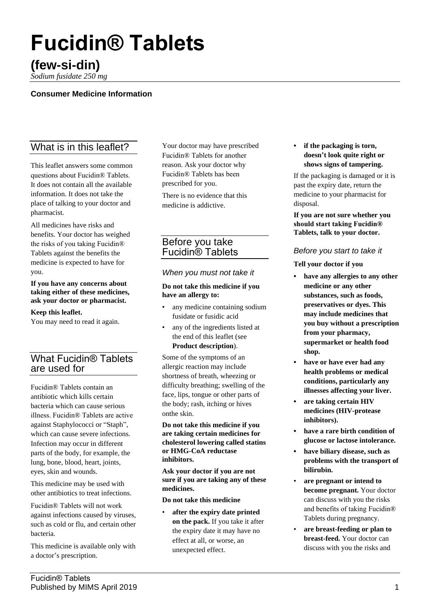# **Fucidin® Tablets**

# **(few-si-din)**

*Sodium fusidate 250 mg*

# **Consumer Medicine Information**

# What is in this leaflet?

This leaflet answers some common questions about Fucidin® Tablets. It does not contain all the available information. It does not take the place of talking to your doctor and pharmacist.

All medicines have risks and benefits. Your doctor has weighed the risks of you taking Fucidin® Tablets against the benefits the medicine is expected to have for you.

**If you have any concerns about taking either of these medicines, ask your doctor or pharmacist.**

#### **Keep this leaflet.**

You may need to read it again.

# What Fucidin® Tablets are used for

Fucidin® Tablets contain an antibiotic which kills certain bacteria which can cause serious illness. Fucidin® Tablets are active against Staphylococci or "Staph", which can cause severe infections. Infection may occur in different parts of the body, for example, the lung, bone, blood, heart, joints, eyes, skin and wounds.

This medicine may be used with other antibiotics to treat infections.

Fucidin® Tablets will not work against infections caused by viruses, such as cold or flu, and certain other bacteria.

This medicine is available only with a doctor's prescription.

Your doctor may have prescribed Fucidin® Tablets for another reason. Ask your doctor why Fucidin® Tablets has been prescribed for you.

There is no evidence that this medicine is addictive.

# Before you take Fucidin® Tablets

#### *When you must not take it*

**Do not take this medicine if you have an allergy to:**

- any medicine containing sodium fusidate or fusidic acid
- any of the ingredients listed at the end of this leaflet (see **Product description**).

Some of the symptoms of an allergic reaction may include shortness of breath, wheezing or difficulty breathing; swelling of the face, lips, tongue or other parts of the body; rash, itching or hives onthe skin.

**Do not take this medicine if you are taking certain medicines for cholesterol lowering called statins or HMG-CoA reductase inhibitors.**

**Ask your doctor if you are not sure if you are taking any of these medicines.**

**Do not take this medicine**

• **after the expiry date printed on the pack.** If you take it after the expiry date it may have no effect at all, or worse, an unexpected effect.

**• if the packaging is torn, doesn't look quite right or shows signs of tampering.**

If the packaging is damaged or it is past the expiry date, return the medicine to your pharmacist for disposal.

**If you are not sure whether you should start taking Fucidin® Tablets, talk to your doctor.**

#### *Before you start to take it*

**Tell your doctor if you**

- **• have any allergies to any other medicine or any other substances, such as foods, preservatives or dyes. This may include medicines that you buy without a prescription from your pharmacy, supermarket or health food shop.**
- **• have or have ever had any health problems or medical conditions, particularly any illnesses affecting your liver.**
- **• are taking certain HIV medicines (HIV-protease inhibitors).**
- **• have a rare birth condition of glucose or lactose intolerance.**
- **• have biliary disease, such as problems with the transport of bilirubin.**
- **are pregnant or intend to become pregnant.** Your doctor can discuss with you the risks and benefits of taking Fucidin® Tablets during pregnancy.
- **are breast-feeding or plan to breast-feed.** Your doctor can discuss with you the risks and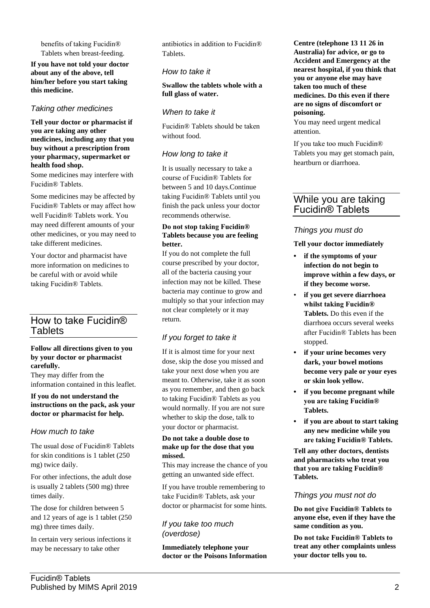benefits of taking Fucidin® Tablets when breast-feeding.

**If you have not told your doctor about any of the above, tell him/her before you start taking this medicine.**

# *Taking other medicines*

**Tell your doctor or pharmacist if you are taking any other medicines, including any that you buy without a prescription from your pharmacy, supermarket or health food shop.**

Some medicines may interfere with Fucidin® Tablets.

Some medicines may be affected by Fucidin® Tablets or may affect how well Fucidin® Tablets work. You may need different amounts of your other medicines, or you may need to take different medicines.

Your doctor and pharmacist have more information on medicines to be careful with or avoid while taking Fucidin® Tablets.

# How to take Fucidin® **Tablets**

#### **Follow all directions given to you by your doctor or pharmacist carefully.**

They may differ from the information contained in this leaflet.

#### **If you do not understand the instructions on the pack, ask your doctor or pharmacist for help.**

#### *How much to take*

The usual dose of Fucidin® Tablets for skin conditions is 1 tablet (250 mg) twice daily.

For other infections, the adult dose is usually 2 tablets (500 mg) three times daily.

The dose for children between 5 and 12 years of age is 1 tablet (250 mg) three times daily.

In certain very serious infections it may be necessary to take other

antibiotics in addition to Fucidin® **Tablets** 

#### *How to take it*

**Swallow the tablets whole with a full glass of water.**

### *When to take it*

Fucidin® Tablets should be taken without food.

# *How long to take it*

It is usually necessary to take a course of Fucidin® Tablets for between 5 and 10 days.Continue taking Fucidin® Tablets until you finish the pack unless your doctor recommends otherwise.

#### **Do not stop taking Fucidin® Tablets because you are feeling better.**

If you do not complete the full course prescribed by your doctor, all of the bacteria causing your infection may not be killed. These bacteria may continue to grow and multiply so that your infection may not clear completely or it may return.

# *If you forget to take it*

If it is almost time for your next dose, skip the dose you missed and take your next dose when you are meant to. Otherwise, take it as soon as you remember, and then go back to taking Fucidin® Tablets as you would normally. If you are not sure whether to skip the dose, talk to your doctor or pharmacist.

#### **Do not take a double dose to make up for the dose that you missed.**

This may increase the chance of you getting an unwanted side effect.

If you have trouble remembering to take Fucidin® Tablets, ask your doctor or pharmacist for some hints.

#### *If you take too much (overdose)*

**Immediately telephone your doctor or the Poisons Information** **Centre (telephone 13 11 26 in Australia) for advice, or go to Accident and Emergency at the nearest hospital, if you think that you or anyone else may have taken too much of these medicines. Do this even if there are no signs of discomfort or poisoning.**

You may need urgent medical attention.

If you take too much Fucidin® Tablets you may get stomach pain, heartburn or diarrhoea.

# While you are taking Fucidin® Tablets

# *Things you must do*

#### **Tell your doctor immediately**

- **• if the symptoms of your infection do not begin to improve within a few days, or if they become worse.**
- **if you get severe diarrhoea whilst taking Fucidin® Tablets.** Do this even if the diarrhoea occurs several weeks after Fucidin® Tablets has been stopped.
- **• if your urine becomes very dark, your bowel motions become very pale or your eyes or skin look yellow.**
- **• if you become pregnant while you are taking Fucidin® Tablets.**
- **• if you are about to start taking any new medicine while you are taking Fucidin® Tablets.**

**Tell any other doctors, dentists and pharmacists who treat you that you are taking Fucidin® Tablets.**

#### *Things you must not do*

**Do not give Fucidin® Tablets to anyone else, even if they have the same condition as you.**

**Do not take Fucidin® Tablets to treat any other complaints unless your doctor tells you to.**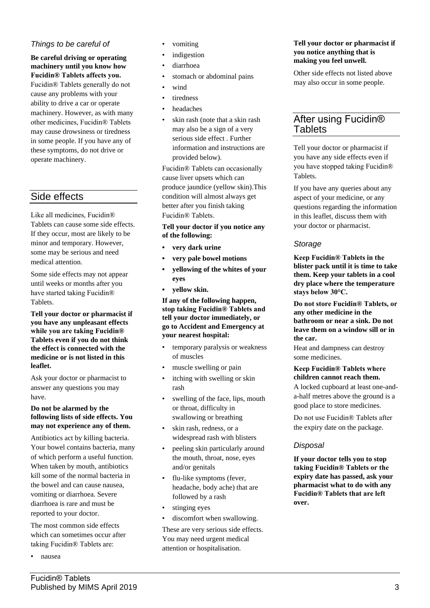# *Things to be careful of*

#### **Be careful driving or operating machinery until you know how Fucidin® Tablets affects you.**

Fucidin® Tablets generally do not cause any problems with your ability to drive a car or operate machinery. However, as with many other medicines, Fucidin® Tablets may cause drowsiness or tiredness in some people. If you have any of these symptoms, do not drive or operate machinery.

# Side effects

Like all medicines, Fucidin® Tablets can cause some side effects. If they occur, most are likely to be minor and temporary. However, some may be serious and need medical attention.

Some side effects may not appear until weeks or months after you have started taking Fucidin® Tablets.

**Tell your doctor or pharmacist if you have any unpleasant effects while you are taking Fucidin® Tablets even if you do not think the effect is connected with the medicine or is not listed in this leaflet.**

Ask your doctor or pharmacist to answer any questions you may have.

#### **Do not be alarmed by the following lists of side effects. You may not experience any of them.**

Antibiotics act by killing bacteria. Your bowel contains bacteria, many of which perform a useful function. When taken by mouth, antibiotics kill some of the normal bacteria in the bowel and can cause nausea, vomiting or diarrhoea. Severe diarrhoea is rare and must be reported to your doctor.

The most common side effects which can sometimes occur after taking Fucidin® Tablets are:

• nausea

- *indigestion*
- diarrhoea
- stomach or abdominal pains
- wind
- tiredness
- headaches
- skin rash (note that a skin rash) may also be a sign of a very serious side effect . Further information and instructions are provided below).

Fucidin® Tablets can occasionally cause liver upsets which can produce jaundice (yellow skin).This condition will almost always get better after you finish taking Fucidin® Tablets.

#### **Tell your doctor if you notice any of the following:**

- **• very dark urine**
- **• very pale bowel motions**
- **• yellowing of the whites of your eyes**
- **• yellow skin.**

**If any of the following happen, stop taking Fucidin® Tablets and tell your doctor immediately, or go to Accident and Emergency at your nearest hospital:**

- temporary paralysis or weakness of muscles
- muscle swelling or pain
- itching with swelling or skin rash
- swelling of the face, lips, mouth or throat, difficulty in swallowing or breathing
- skin rash, redness, or a widespread rash with blisters
- peeling skin particularly around the mouth, throat, nose, eyes and/or genitals
- flu-like symptoms (fever, headache, body ache) that are followed by a rash
- stinging eyes
- discomfort when swallowing.

These are very serious side effects. You may need urgent medical attention or hospitalisation.

#### **Tell your doctor or pharmacist if you notice anything that is making you feel unwell.**

Other side effects not listed above may also occur in some people.

# After using Fucidin® Tablets

Tell your doctor or pharmacist if you have any side effects even if you have stopped taking Fucidin® Tablets.

If you have any queries about any aspect of your medicine, or any questions regarding the information in this leaflet, discuss them with your doctor or pharmacist.

# *Storage*

**Keep Fucidin® Tablets in the blister pack until it is time to take them. Keep your tablets in a cool dry place where the temperature stays below 30°C.**

**Do not store Fucidin® Tablets, or any other medicine in the bathroom or near a sink. Do not leave them on a window sill or in the car.**

Heat and dampness can destroy some medicines.

#### **Keep Fucidin® Tablets where children cannot reach them.**

A locked cupboard at least one-anda-half metres above the ground is a good place to store medicines.

Do not use Fucidin® Tablets after the expiry date on the package.

# *Disposal*

**If your doctor tells you to stop taking Fucidin® Tablets or the expiry date has passed, ask your pharmacist what to do with any Fucidin® Tablets that are left over.**